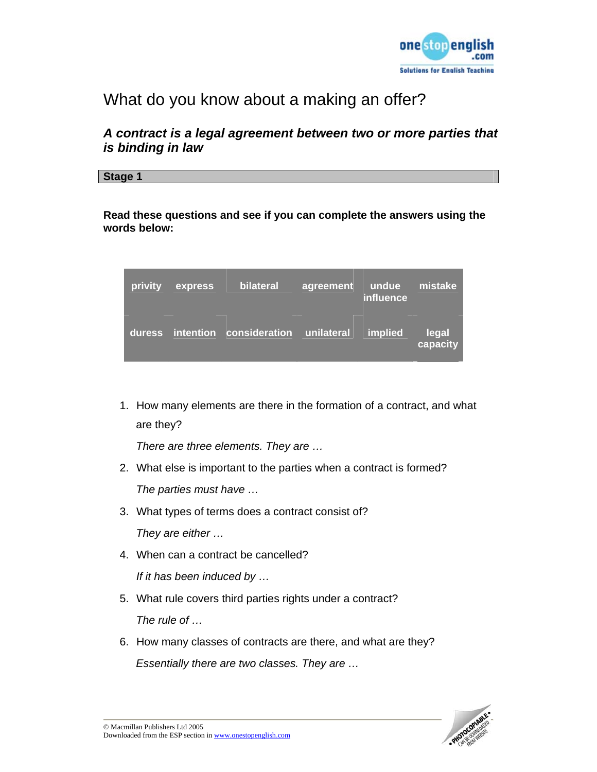

# What do you know about a making an offer?

# *A contract is a legal agreement between two or more parties that is binding in law*

**Stage 1** 

**Read these questions and see if you can complete the answers using the words below:** 

| privity | express   | bilateral            | agreement  | undue<br>influence | mistake           |
|---------|-----------|----------------------|------------|--------------------|-------------------|
| duress  | intention | <b>consideration</b> | unilateral | <b>implied</b>     | legal<br>capacity |

1. How many elements are there in the formation of a contract, and what are they?

*There are three elements. They are …* 

- 2. What else is important to the parties when a contract is formed? *The parties must have …*
- 3. What types of terms does a contract consist of? *They are either …*
- 4. When can a contract be cancelled?

*If it has been induced by …* 

- 5. What rule covers third parties rights under a contract? *The rule of …*
- 6. How many classes of contracts are there, and what are they? *Essentially there are two classes. They are …*

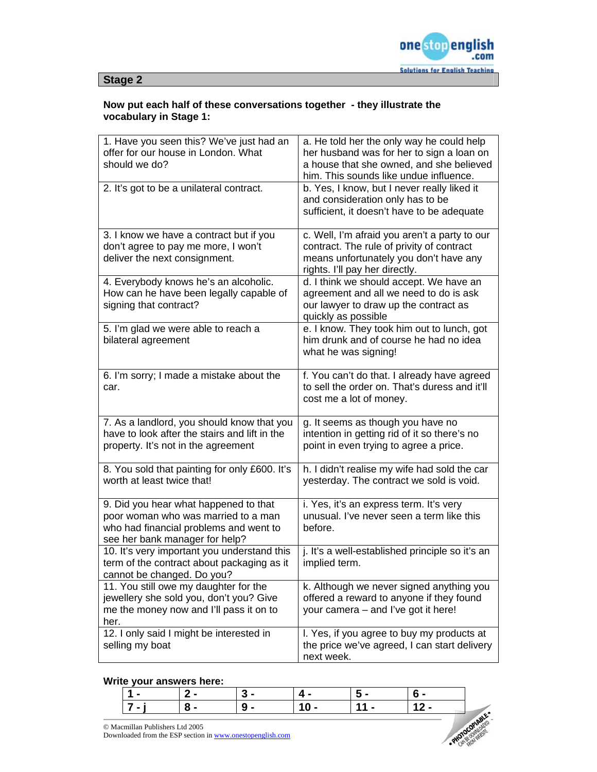

### **Now put each half of these conversations together - they illustrate the vocabulary in Stage 1:**

| 1. Have you seen this? We've just had an<br>offer for our house in London. What<br>should we do?                                                         | a. He told her the only way he could help<br>her husband was for her to sign a loan on<br>a house that she owned, and she believed                                      |
|----------------------------------------------------------------------------------------------------------------------------------------------------------|-------------------------------------------------------------------------------------------------------------------------------------------------------------------------|
| 2. It's got to be a unilateral contract.                                                                                                                 | him. This sounds like undue influence.<br>b. Yes, I know, but I never really liked it<br>and consideration only has to be<br>sufficient, it doesn't have to be adequate |
| 3. I know we have a contract but if you<br>don't agree to pay me more, I won't<br>deliver the next consignment.                                          | c. Well, I'm afraid you aren't a party to our<br>contract. The rule of privity of contract<br>means unfortunately you don't have any<br>rights. I'll pay her directly.  |
| 4. Everybody knows he's an alcoholic.<br>How can he have been legally capable of<br>signing that contract?                                               | d. I think we should accept. We have an<br>agreement and all we need to do is ask<br>our lawyer to draw up the contract as<br>quickly as possible                       |
| 5. I'm glad we were able to reach a<br>bilateral agreement                                                                                               | e. I know. They took him out to lunch, got<br>him drunk and of course he had no idea<br>what he was signing!                                                            |
| 6. I'm sorry; I made a mistake about the<br>car.                                                                                                         | f. You can't do that. I already have agreed<br>to sell the order on. That's duress and it'll<br>cost me a lot of money.                                                 |
| 7. As a landlord, you should know that you<br>have to look after the stairs and lift in the<br>property. It's not in the agreement                       | g. It seems as though you have no<br>intention in getting rid of it so there's no<br>point in even trying to agree a price.                                             |
| 8. You sold that painting for only £600. It's<br>worth at least twice that!                                                                              | h. I didn't realise my wife had sold the car<br>yesterday. The contract we sold is void.                                                                                |
| 9. Did you hear what happened to that<br>poor woman who was married to a man<br>who had financial problems and went to<br>see her bank manager for help? | i. Yes, it's an express term. It's very<br>unusual. I've never seen a term like this<br>before.                                                                         |
| 10. It's very important you understand this<br>term of the contract about packaging as it<br>cannot be changed. Do you?                                  | j. It's a well-established principle so it's an<br>implied term.                                                                                                        |
| 11. You still owe my daughter for the<br>jewellery she sold you, don't you? Give<br>me the money now and I'll pass it on to<br>her.                      | k. Although we never signed anything you<br>offered a reward to anyone if they found<br>your camera – and I've got it here!                                             |
| 12. I only said I might be interested in<br>selling my boat                                                                                              | I. Yes, if you agree to buy my products at<br>the price we've agreed, I can start delivery<br>next week.                                                                |

### **Write your answers here:**

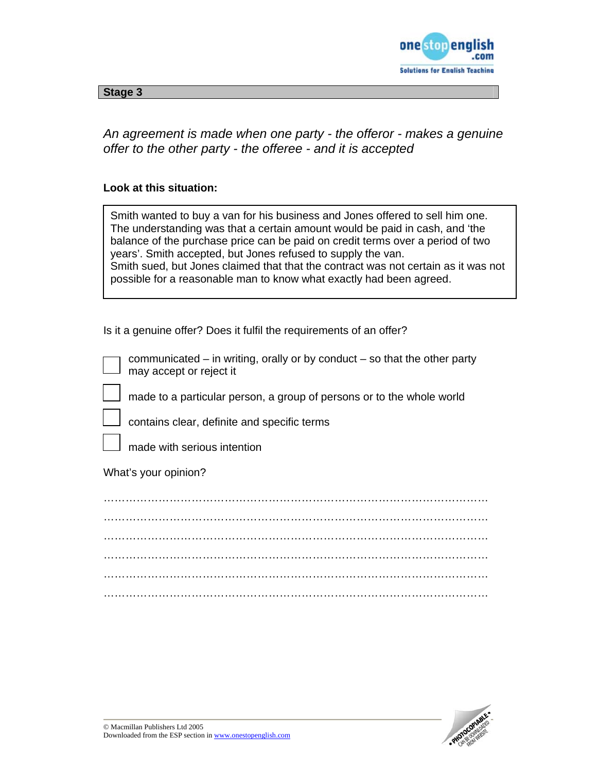

*An agreement is made when one party - the offeror - makes a genuine offer to the other party - the offeree - and it is accepted* 

### **Look at this situation:**

| Smith wanted to buy a van for his business and Jones offered to sell him one.      |
|------------------------------------------------------------------------------------|
| The understanding was that a certain amount would be paid in cash, and 'the        |
| balance of the purchase price can be paid on credit terms over a period of two     |
| years'. Smith accepted, but Jones refused to supply the van.                       |
| Smith sued, but Jones claimed that that the contract was not certain as it was not |
| possible for a reasonable man to know what exactly had been agreed.                |

Is it a genuine offer? Does it fulfil the requirements of an offer?

communicated – in writing, orally or by conduct – so that the other party may accept or reject it

made to a particular person, a group of persons or to the whole world

contains clear, definite and specific terms

made with serious intention

What's your opinion?

…………………………………………………………………………………………… …………………………………………………………………………………………… …………………………………………………………………………………………… …………………………………………………………………………………………… …………………………………………………………………………………………… ……………………………………………………………………………………………

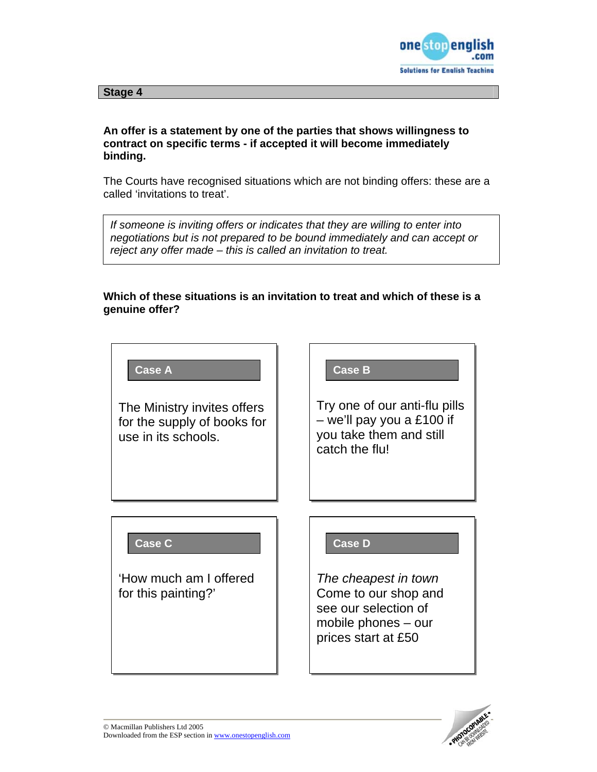

## **An offer is a statement by one of the parties that shows willingness to contract on specific terms - if accepted it will become immediately binding.**

The Courts have recognised situations which are not binding offers: these are a called 'invitations to treat'.

*If someone is inviting offers or indicates that they are willing to enter into negotiations but is not prepared to be bound immediately and can accept or reject any offer made – this is called an invitation to treat.* 

## **Which of these situations is an invitation to treat and which of these is a genuine offer?**



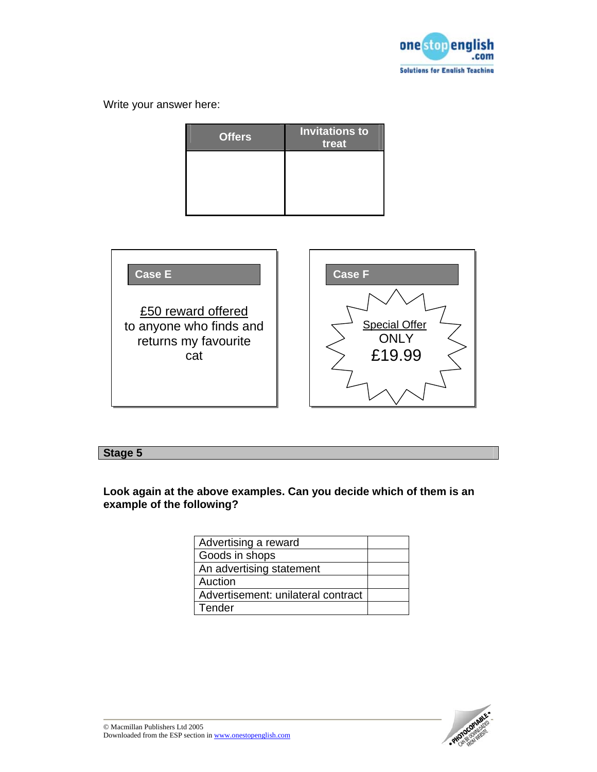

Write your answer here:

| <b>Offers</b> | <b>Invitations to</b><br>treat |
|---------------|--------------------------------|
|               |                                |
|               |                                |
|               |                                |



# **Stage 5**

**Look again at the above examples. Can you decide which of them is an example of the following?** 

| Advertising a reward               |  |
|------------------------------------|--|
| Goods in shops                     |  |
| An advertising statement           |  |
| Auction                            |  |
| Advertisement: unilateral contract |  |
| Tender                             |  |